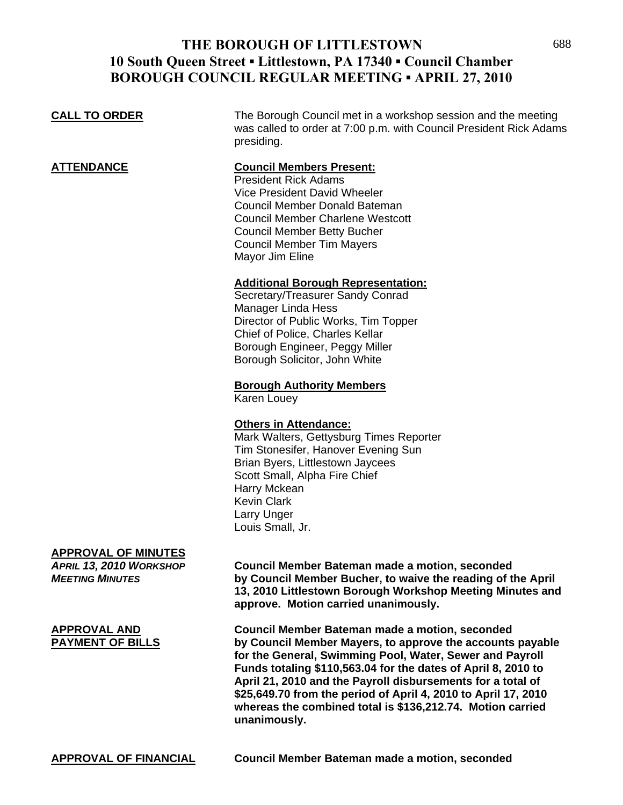# **THE BOROUGH OF LITTLESTOWN** 688 **10 South Queen Street ▪ Littlestown, PA 17340 ▪ Council Chamber BOROUGH COUNCIL REGULAR MEETING ▪ APRIL 27, 2010**

**CALL TO ORDER** The Borough Council met in a workshop session and the meeting was called to order at 7:00 p.m. with Council President Rick Adams presiding.

### **ATTENDANCE Council Members Present:**

 President Rick Adams Vice President David Wheeler Council Member Donald Bateman Council Member Charlene Westcott Council Member Betty Bucher Council Member Tim Mayers Mayor Jim Eline

#### **Additional Borough Representation:**

 Secretary/Treasurer Sandy Conrad Manager Linda Hess Director of Public Works, Tim Topper Chief of Police, Charles Kellar Borough Engineer, Peggy Miller Borough Solicitor, John White

#### **Borough Authority Members**

Karen Louey

### **Others in Attendance:**

 Mark Walters, Gettysburg Times Reporter Tim Stonesifer, Hanover Evening Sun Brian Byers, Littlestown Jaycees Scott Small, Alpha Fire Chief Harry Mckean Kevin Clark Larry Unger Louis Small, Jr.

### **APPROVAL OF MINUTES**

*APRIL 13, 2010 WORKSHOP* **Council Member Bateman made a motion, seconded** *MEETING MINUTES* **by Council Member Bucher, to waive the reading of the April 13, 2010 Littlestown Borough Workshop Meeting Minutes and approve. Motion carried unanimously.**

**APPROVAL AND Council Member Bateman made a motion, seconded PAYMENT OF BILLS by Council Member Mayers, to approve the accounts payable for the General, Swimming Pool, Water, Sewer and Payroll Funds totaling \$110,563.04 for the dates of April 8, 2010 to April 21, 2010 and the Payroll disbursements for a total of \$25,649.70 from the period of April 4, 2010 to April 17, 2010 whereas the combined total is \$136,212.74. Motion carried unanimously.** 

**APPROVAL OF FINANCIAL Council Member Bateman made a motion, seconded**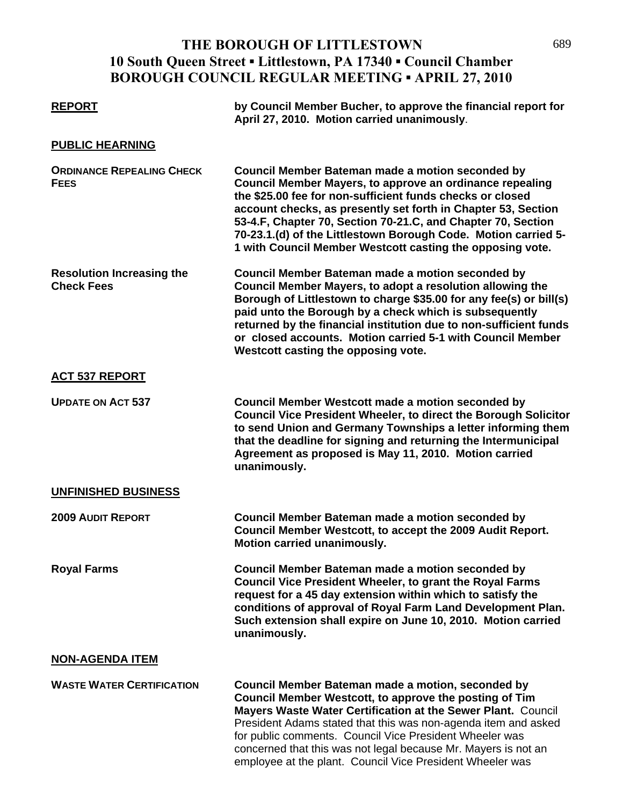# **THE BOROUGH OF LITTLESTOWN** 689 **10 South Queen Street ▪ Littlestown, PA 17340 ▪ Council Chamber BOROUGH COUNCIL REGULAR MEETING ▪ APRIL 27, 2010**

| <b>REPORT</b>                                         | by Council Member Bucher, to approve the financial report for<br>April 27, 2010. Motion carried unanimously.                                                                                                                                                                                                                                                                                                                              |
|-------------------------------------------------------|-------------------------------------------------------------------------------------------------------------------------------------------------------------------------------------------------------------------------------------------------------------------------------------------------------------------------------------------------------------------------------------------------------------------------------------------|
| <b>PUBLIC HEARNING</b>                                |                                                                                                                                                                                                                                                                                                                                                                                                                                           |
| <b>ORDINANCE REPEALING CHECK</b><br><b>FEES</b>       | Council Member Bateman made a motion seconded by<br>Council Member Mayers, to approve an ordinance repealing<br>the \$25.00 fee for non-sufficient funds checks or closed<br>account checks, as presently set forth in Chapter 53, Section<br>53-4.F, Chapter 70, Section 70-21.C, and Chapter 70, Section<br>70-23.1.(d) of the Littlestown Borough Code. Motion carried 5-<br>1 with Council Member Westcott casting the opposing vote. |
| <b>Resolution Increasing the</b><br><b>Check Fees</b> | Council Member Bateman made a motion seconded by<br>Council Member Mayers, to adopt a resolution allowing the<br>Borough of Littlestown to charge \$35.00 for any fee(s) or bill(s)<br>paid unto the Borough by a check which is subsequently<br>returned by the financial institution due to non-sufficient funds<br>or closed accounts. Motion carried 5-1 with Council Member<br>Westcott casting the opposing vote.                   |
| <b>ACT 537 REPORT</b>                                 |                                                                                                                                                                                                                                                                                                                                                                                                                                           |
| <b>UPDATE ON ACT 537</b>                              | <b>Council Member Westcott made a motion seconded by</b><br>Council Vice President Wheeler, to direct the Borough Solicitor<br>to send Union and Germany Townships a letter informing them<br>that the deadline for signing and returning the Intermunicipal<br>Agreement as proposed is May 11, 2010. Motion carried<br>unanimously.                                                                                                     |
| <b>UNFINISHED BUSINESS</b>                            |                                                                                                                                                                                                                                                                                                                                                                                                                                           |
| <b>2009 AUDIT REPORT</b>                              | Council Member Bateman made a motion seconded by<br>Council Member Westcott, to accept the 2009 Audit Report.<br>Motion carried unanimously.                                                                                                                                                                                                                                                                                              |
| <b>Royal Farms</b>                                    | Council Member Bateman made a motion seconded by<br><b>Council Vice President Wheeler, to grant the Royal Farms</b><br>request for a 45 day extension within which to satisfy the<br>conditions of approval of Royal Farm Land Development Plan.<br>Such extension shall expire on June 10, 2010. Motion carried<br>unanimously.                                                                                                          |
| <b>NON-AGENDA ITEM</b>                                |                                                                                                                                                                                                                                                                                                                                                                                                                                           |
| <b>WASTE WATER CERTIFICATION</b>                      | Council Member Bateman made a motion, seconded by<br>Council Member Westcott, to approve the posting of Tim<br>Mayers Waste Water Certification at the Sewer Plant. Council<br>President Adams stated that this was non-agenda item and asked<br>for public comments. Council Vice President Wheeler was<br>concerned that this was not legal because Mr. Mayers is not an                                                                |

employee at the plant. Council Vice President Wheeler was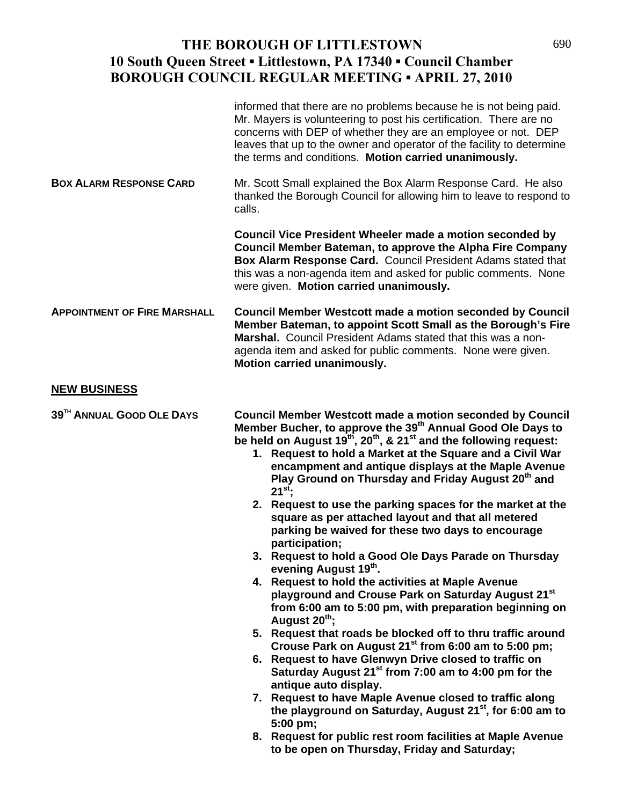# **THE BOROUGH OF LITTLESTOWN** 690 **10 South Queen Street ▪ Littlestown, PA 17340 ▪ Council Chamber BOROUGH COUNCIL REGULAR MEETING ▪ APRIL 27, 2010**

|                                     | informed that there are no problems because he is not being paid.<br>Mr. Mayers is volunteering to post his certification. There are no<br>concerns with DEP of whether they are an employee or not. DEP<br>leaves that up to the owner and operator of the facility to determine<br>the terms and conditions. Motion carried unanimously.                                                                                                                                                                                                                                                                                                                                                                                                                                                                                                                                                                                                                                                                                                                                                                                                                                                                                                                                                                                                                                                                                                                                                              |
|-------------------------------------|---------------------------------------------------------------------------------------------------------------------------------------------------------------------------------------------------------------------------------------------------------------------------------------------------------------------------------------------------------------------------------------------------------------------------------------------------------------------------------------------------------------------------------------------------------------------------------------------------------------------------------------------------------------------------------------------------------------------------------------------------------------------------------------------------------------------------------------------------------------------------------------------------------------------------------------------------------------------------------------------------------------------------------------------------------------------------------------------------------------------------------------------------------------------------------------------------------------------------------------------------------------------------------------------------------------------------------------------------------------------------------------------------------------------------------------------------------------------------------------------------------|
| <b>BOX ALARM RESPONSE CARD</b>      | Mr. Scott Small explained the Box Alarm Response Card. He also<br>thanked the Borough Council for allowing him to leave to respond to<br>calls.                                                                                                                                                                                                                                                                                                                                                                                                                                                                                                                                                                                                                                                                                                                                                                                                                                                                                                                                                                                                                                                                                                                                                                                                                                                                                                                                                         |
|                                     | <b>Council Vice President Wheeler made a motion seconded by</b><br>Council Member Bateman, to approve the Alpha Fire Company<br>Box Alarm Response Card. Council President Adams stated that<br>this was a non-agenda item and asked for public comments. None<br>were given. Motion carried unanimously.                                                                                                                                                                                                                                                                                                                                                                                                                                                                                                                                                                                                                                                                                                                                                                                                                                                                                                                                                                                                                                                                                                                                                                                               |
| <b>APPOINTMENT OF FIRE MARSHALL</b> | <b>Council Member Westcott made a motion seconded by Council</b><br>Member Bateman, to appoint Scott Small as the Borough's Fire<br>Marshal. Council President Adams stated that this was a non-<br>agenda item and asked for public comments. None were given.<br>Motion carried unanimously.                                                                                                                                                                                                                                                                                                                                                                                                                                                                                                                                                                                                                                                                                                                                                                                                                                                                                                                                                                                                                                                                                                                                                                                                          |
| <b>NEW BUSINESS</b>                 |                                                                                                                                                                                                                                                                                                                                                                                                                                                                                                                                                                                                                                                                                                                                                                                                                                                                                                                                                                                                                                                                                                                                                                                                                                                                                                                                                                                                                                                                                                         |
| 39TH ANNUAL GOOD OLE DAYS           | <b>Council Member Westcott made a motion seconded by Council</b><br>Member Bucher, to approve the 39 <sup>th</sup> Annual Good Ole Days to<br>be held on August 19 <sup>th</sup> , 20 <sup>th</sup> , & 21 <sup>st</sup> and the following request:<br>1. Request to hold a Market at the Square and a Civil War<br>encampment and antique displays at the Maple Avenue<br>Play Ground on Thursday and Friday August 20 <sup>th</sup> and<br>$21^{st}$ ;<br>2. Request to use the parking spaces for the market at the<br>square as per attached layout and that all metered<br>parking be waived for these two days to encourage<br>participation;<br>3. Request to hold a Good Ole Days Parade on Thursday<br>evening August 19th.<br>4. Request to hold the activities at Maple Avenue<br>playground and Crouse Park on Saturday August 21 <sup>st</sup><br>from 6:00 am to 5:00 pm, with preparation beginning on<br>August 20 <sup>th</sup> ;<br>5. Request that roads be blocked off to thru traffic around<br>Crouse Park on August 21 <sup>st</sup> from 6:00 am to 5:00 pm;<br>6. Request to have Glenwyn Drive closed to traffic on<br>Saturday August 21 <sup>st</sup> from 7:00 am to 4:00 pm for the<br>antique auto display.<br>7. Request to have Maple Avenue closed to traffic along<br>the playground on Saturday, August 21 <sup>st</sup> , for 6:00 am to<br>5:00 pm;<br>8. Request for public rest room facilities at Maple Avenue<br>to be open on Thursday, Friday and Saturday; |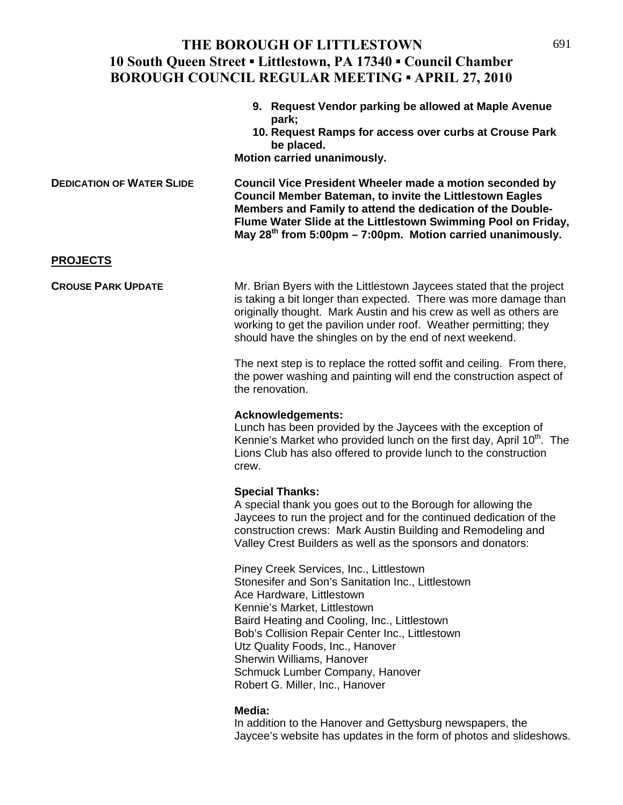### THE BOROUGH OF LITTLESTOWN 691 **10 South Queen Street ▪ Littlestown, PA 17340 ▪ Council Chamber BOROUGH COUNCIL REGULAR MEETING ▪ APRIL 27, 2010**

|                                  | 9. Request Vendor parking be allowed at Maple Avenue<br>park;<br>10. Request Ramps for access over curbs at Crouse Park<br>be placed.<br>Motion carried unanimously.                                                                                                                                                                          |
|----------------------------------|-----------------------------------------------------------------------------------------------------------------------------------------------------------------------------------------------------------------------------------------------------------------------------------------------------------------------------------------------|
| <b>DEDICATION OF WATER SLIDE</b> | Council Vice President Wheeler made a motion seconded by<br>Council Member Bateman, to invite the Littlestown Eagles<br>Members and Family to attend the dedication of the Double-<br>Flume Water Slide at the Littlestown Swimming Pool on Friday,<br>May $28^{th}$ from 5:00pm - 7:00pm. Motion carried unanimously.                        |
| <b>PROJECTS</b>                  |                                                                                                                                                                                                                                                                                                                                               |
| <b>CROUSE PARK UPDATE</b>        | Mr. Brian Byers with the Littlestown Jaycees stated that the project<br>is taking a bit longer than expected. There was more damage than<br>originally thought. Mark Austin and his crew as well as others are<br>working to get the pavilion under roof. Weather permitting; they<br>should have the shingles on by the end of next weekend. |
|                                  | The next step is to replace the rotted soffit and ceiling. From there,<br>the power washing and painting will end the construction aspect of<br>the renovation.                                                                                                                                                                               |
|                                  | <b>Acknowledgements:</b><br>Lunch has been provided by the Jaycees with the exception of<br>Kennie's Market who provided lunch on the first day, April 10 <sup>th</sup> . The<br>Lions Club has also offered to provide lunch to the construction<br>crew.                                                                                    |
|                                  | <b>Special Thanks:</b><br>A special thank you goes out to the Borough for allowing the<br>Jaycees to run the project and for the continued dedication of the<br>construction crews: Mark Austin Building and Remodeling and<br>Valley Crest Builders as well as the sponsors and donators:                                                    |
|                                  | Piney Creek Services, Inc., Littlestown<br>Stonesifer and Son's Sanitation Inc., Littlestown<br>Aco Hardwaro Littloetown                                                                                                                                                                                                                      |

 Ace Hardware, Littlestown Kennie's Market, Littlestown Baird Heating and Cooling, Inc., Littlestown Bob's Collision Repair Center Inc., Littlestown Utz Quality Foods, Inc., Hanover Sherwin Williams, Hanover Schmuck Lumber Company, Hanover Robert G. Miller, Inc., Hanover

#### **Media:**

 In addition to the Hanover and Gettysburg newspapers, the Jaycee's website has updates in the form of photos and slideshows.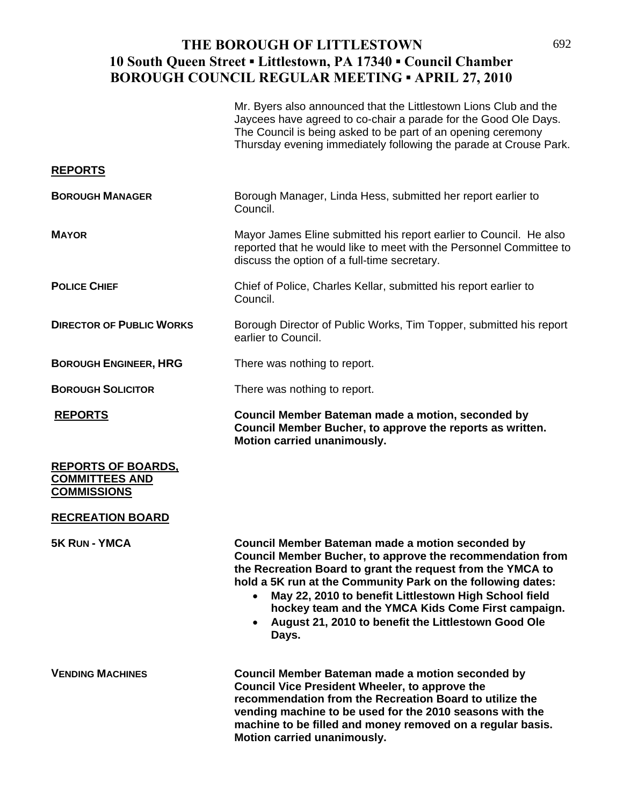# THE BOROUGH OF LITTLESTOWN 692 **10 South Queen Street ▪ Littlestown, PA 17340 ▪ Council Chamber BOROUGH COUNCIL REGULAR MEETING ▪ APRIL 27, 2010**

|                                                                          | Mr. Byers also announced that the Littlestown Lions Club and the<br>Jaycees have agreed to co-chair a parade for the Good Ole Days.<br>The Council is being asked to be part of an opening ceremony<br>Thursday evening immediately following the parade at Crouse Park.                                                                                                                                                         |
|--------------------------------------------------------------------------|----------------------------------------------------------------------------------------------------------------------------------------------------------------------------------------------------------------------------------------------------------------------------------------------------------------------------------------------------------------------------------------------------------------------------------|
| <u>REPORTS</u>                                                           |                                                                                                                                                                                                                                                                                                                                                                                                                                  |
| <b>BOROUGH MANAGER</b>                                                   | Borough Manager, Linda Hess, submitted her report earlier to<br>Council.                                                                                                                                                                                                                                                                                                                                                         |
| <b>MAYOR</b>                                                             | Mayor James Eline submitted his report earlier to Council. He also<br>reported that he would like to meet with the Personnel Committee to<br>discuss the option of a full-time secretary.                                                                                                                                                                                                                                        |
| <b>POLICE CHIEF</b>                                                      | Chief of Police, Charles Kellar, submitted his report earlier to<br>Council.                                                                                                                                                                                                                                                                                                                                                     |
| <b>DIRECTOR OF PUBLIC WORKS</b>                                          | Borough Director of Public Works, Tim Topper, submitted his report<br>earlier to Council.                                                                                                                                                                                                                                                                                                                                        |
| <b>BOROUGH ENGINEER, HRG</b>                                             | There was nothing to report.                                                                                                                                                                                                                                                                                                                                                                                                     |
| <b>BOROUGH SOLICITOR</b>                                                 | There was nothing to report.                                                                                                                                                                                                                                                                                                                                                                                                     |
| <b>REPORTS</b>                                                           | Council Member Bateman made a motion, seconded by<br>Council Member Bucher, to approve the reports as written.<br>Motion carried unanimously.                                                                                                                                                                                                                                                                                    |
| <u>REPORTS OF BOARDS,</u><br><b>COMMITTEES AND</b><br><b>COMMISSIONS</b> |                                                                                                                                                                                                                                                                                                                                                                                                                                  |
| <b>RECREATION BOARD</b>                                                  |                                                                                                                                                                                                                                                                                                                                                                                                                                  |
| 5K RUN - YMCA                                                            | <b>Council Member Bateman made a motion seconded by</b><br>Council Member Bucher, to approve the recommendation from<br>the Recreation Board to grant the request from the YMCA to<br>hold a 5K run at the Community Park on the following dates:<br>May 22, 2010 to benefit Littlestown High School field<br>hockey team and the YMCA Kids Come First campaign.<br>August 21, 2010 to benefit the Littlestown Good Ole<br>Days. |
| <b>VENDING MACHINES</b>                                                  | Council Member Bateman made a motion seconded by<br><b>Council Vice President Wheeler, to approve the</b><br>recommendation from the Recreation Board to utilize the<br>vending machine to be used for the 2010 seasons with the<br>machine to be filled and money removed on a regular basis.                                                                                                                                   |

**Motion carried unanimously.**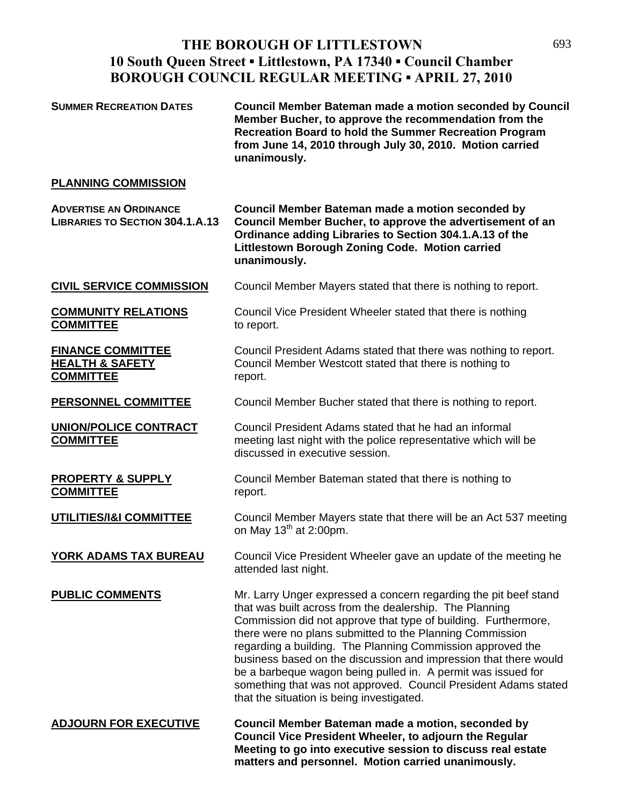# THE BOROUGH OF LITTLESTOWN 693 **10 South Queen Street ▪ Littlestown, PA 17340 ▪ Council Chamber BOROUGH COUNCIL REGULAR MEETING ▪ APRIL 27, 2010**

| <b>SUMMER RECREATION DATES</b>                                             | <b>Council Member Bateman made a motion seconded by Council</b><br>Member Bucher, to approve the recommendation from the<br>Recreation Board to hold the Summer Recreation Program<br>from June 14, 2010 through July 30, 2010. Motion carried<br>unanimously.                                                                                                                                                                                                                                                                                                              |
|----------------------------------------------------------------------------|-----------------------------------------------------------------------------------------------------------------------------------------------------------------------------------------------------------------------------------------------------------------------------------------------------------------------------------------------------------------------------------------------------------------------------------------------------------------------------------------------------------------------------------------------------------------------------|
| <b>PLANNING COMMISSION</b>                                                 |                                                                                                                                                                                                                                                                                                                                                                                                                                                                                                                                                                             |
| <b>ADVERTISE AN ORDINANCE</b><br><b>LIBRARIES TO SECTION 304.1.A.13</b>    | Council Member Bateman made a motion seconded by<br>Council Member Bucher, to approve the advertisement of an<br>Ordinance adding Libraries to Section 304.1.A.13 of the<br>Littlestown Borough Zoning Code. Motion carried<br>unanimously.                                                                                                                                                                                                                                                                                                                                 |
| <b>CIVIL SERVICE COMMISSION</b>                                            | Council Member Mayers stated that there is nothing to report.                                                                                                                                                                                                                                                                                                                                                                                                                                                                                                               |
| <b>COMMUNITY RELATIONS</b><br><b>COMMITTEE</b>                             | Council Vice President Wheeler stated that there is nothing<br>to report.                                                                                                                                                                                                                                                                                                                                                                                                                                                                                                   |
| <b>FINANCE COMMITTEE</b><br><b>HEALTH &amp; SAFETY</b><br><b>COMMITTEE</b> | Council President Adams stated that there was nothing to report.<br>Council Member Westcott stated that there is nothing to<br>report.                                                                                                                                                                                                                                                                                                                                                                                                                                      |
| <b>PERSONNEL COMMITTEE</b>                                                 | Council Member Bucher stated that there is nothing to report.                                                                                                                                                                                                                                                                                                                                                                                                                                                                                                               |
| <b>UNION/POLICE CONTRACT</b><br><b>COMMITTEE</b>                           | Council President Adams stated that he had an informal<br>meeting last night with the police representative which will be<br>discussed in executive session.                                                                                                                                                                                                                                                                                                                                                                                                                |
| <b>PROPERTY &amp; SUPPLY</b><br><b>COMMITTEE</b>                           | Council Member Bateman stated that there is nothing to<br>report.                                                                                                                                                                                                                                                                                                                                                                                                                                                                                                           |
| <b>UTILITIES/I&amp;I COMMITTEE</b>                                         | Council Member Mayers state that there will be an Act 537 meeting<br>on May $13th$ at 2:00pm.                                                                                                                                                                                                                                                                                                                                                                                                                                                                               |
| YORK ADAMS TAX BUREAU                                                      | Council Vice President Wheeler gave an update of the meeting he<br>attended last night.                                                                                                                                                                                                                                                                                                                                                                                                                                                                                     |
| <b>PUBLIC COMMENTS</b>                                                     | Mr. Larry Unger expressed a concern regarding the pit beef stand<br>that was built across from the dealership. The Planning<br>Commission did not approve that type of building. Furthermore,<br>there were no plans submitted to the Planning Commission<br>regarding a building. The Planning Commission approved the<br>business based on the discussion and impression that there would<br>be a barbeque wagon being pulled in. A permit was issued for<br>something that was not approved. Council President Adams stated<br>that the situation is being investigated. |
| <b>ADJOURN FOR EXECUTIVE</b>                                               | Council Member Bateman made a motion, seconded by<br>Council Vice President Wheeler, to adjourn the Regular<br>Meeting to go into executive session to discuss real estate<br>matters and personnel. Motion carried unanimously.                                                                                                                                                                                                                                                                                                                                            |